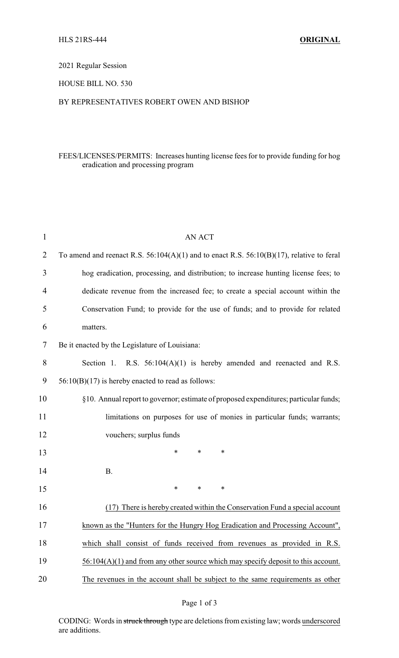# 2021 Regular Session

#### HOUSE BILL NO. 530

#### BY REPRESENTATIVES ROBERT OWEN AND BISHOP

# FEES/LICENSES/PERMITS: Increases hunting license fees for to provide funding for hog eradication and processing program

| $\mathbf 1$    | <b>AN ACT</b>                                                                                 |
|----------------|-----------------------------------------------------------------------------------------------|
| $\overline{2}$ | To amend and reenact R.S. $56:104(A)(1)$ and to enact R.S. $56:10(B)(17)$ , relative to feral |
| 3              | hog eradication, processing, and distribution; to increase hunting license fees; to           |
| 4              | dedicate revenue from the increased fee; to create a special account within the               |
| 5              | Conservation Fund; to provide for the use of funds; and to provide for related                |
| 6              | matters.                                                                                      |
| 7              | Be it enacted by the Legislature of Louisiana:                                                |
| 8              | Section 1. R.S. $56:104(A)(1)$ is hereby amended and reenacted and R.S.                       |
| 9              | $56:10(B)(17)$ is hereby enacted to read as follows:                                          |
| 10             | §10. Annual report to governor; estimate of proposed expenditures; particular funds;          |
| 11             | limitations on purposes for use of monies in particular funds; warrants;                      |
| 12             | vouchers; surplus funds                                                                       |
| 13             | $\ast$<br>*<br>*                                                                              |
| 14             | <b>B.</b>                                                                                     |
| 15             | *<br>$\ast$<br>*                                                                              |
| 16             | (17) There is hereby created within the Conservation Fund a special account                   |
| 17             | known as the "Hunters for the Hungry Hog Eradication and Processing Account",                 |
| 18             | which shall consist of funds received from revenues as provided in R.S.                       |
| 19             | $56:104(A)(1)$ and from any other source which may specify deposit to this account.           |
| 20             | The revenues in the account shall be subject to the same requirements as other                |
|                |                                                                                               |

# Page 1 of 3

CODING: Words in struck through type are deletions from existing law; words underscored are additions.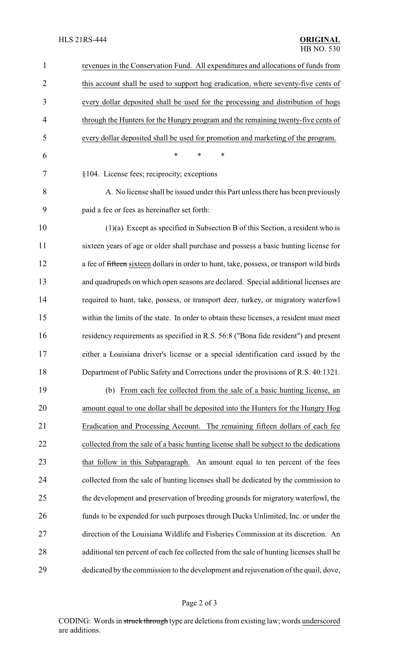| $\mathbf{1}$   | revenues in the Conservation Fund. All expenditures and allocations of funds from         |
|----------------|-------------------------------------------------------------------------------------------|
| $\overline{2}$ | this account shall be used to support hog eradication, where seventy-five cents of        |
| 3              | every dollar deposited shall be used for the processing and distribution of hogs          |
| $\overline{4}$ | through the Hunters for the Hungry program and the remaining twenty-five cents of         |
| 5              | every dollar deposited shall be used for promotion and marketing of the program.          |
| 6              | $\ast$<br>∗<br>*                                                                          |
| 7              | §104. License fees; reciprocity; exceptions                                               |
| 8              | A. No license shall be issued under this Part unless there has been previously            |
| 9              | paid a fee or fees as hereinafter set forth:                                              |
| 10             | $(1)(a)$ Except as specified in Subsection B of this Section, a resident who is           |
| 11             | sixteen years of age or older shall purchase and possess a basic hunting license for      |
| 12             | a fee of fifteen sixteen dollars in order to hunt, take, possess, or transport wild birds |
| 13             | and quadrupeds on which open seasons are declared. Special additional licenses are        |
| 14             | required to hunt, take, possess, or transport deer, turkey, or migratory waterfowl        |
| 15             | within the limits of the state. In order to obtain these licenses, a resident must meet   |
| 16             | residency requirements as specified in R.S. 56:8 ("Bona fide resident") and present       |
| 17             | either a Louisiana driver's license or a special identification card issued by the        |
| 18             | Department of Public Safety and Corrections under the provisions of R.S. 40:1321.         |
| 19             | (b) From each fee collected from the sale of a basic hunting license, an                  |
| 20             | amount equal to one dollar shall be deposited into the Hunters for the Hungry Hog         |
| 21             | Eradication and Processing Account. The remaining fifteen dollars of each fee             |
| 22             | collected from the sale of a basic hunting license shall be subject to the dedications    |
| 23             | that follow in this Subparagraph. An amount equal to ten percent of the fees              |
| 24             | collected from the sale of hunting licenses shall be dedicated by the commission to       |
| 25             | the development and preservation of breeding grounds for migratory waterfowl, the         |
| 26             | funds to be expended for such purposes through Ducks Unlimited, Inc. or under the         |
| 27             | direction of the Louisiana Wildlife and Fisheries Commission at its discretion. An        |
| 28             | additional ten percent of each fee collected from the sale of hunting licenses shall be   |
| 29             | dedicated by the commission to the development and rejuvenation of the quail, dove,       |